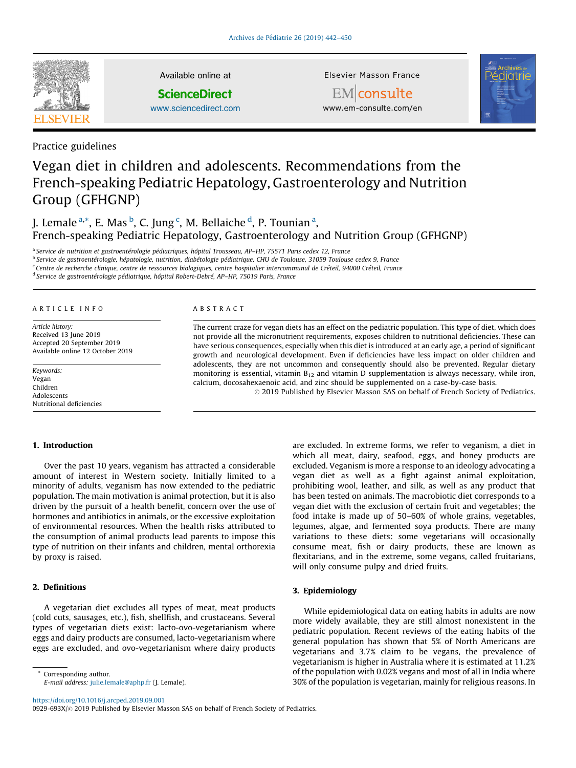

Available online at

**ScienceDirect** 

[www.sciencedirect.com](http://www.sciencedirect.com/science/journal/0929693X)

Elsevier Masson France



EMconsulte www.em-consulte.com/en

## Practice guidelines

# Vegan diet in children and adolescents. Recommendations from the French-speaking Pediatric Hepatology, Gastroenterology and Nutrition Group (GFHGNP)

J. Lemale <sup>a,\*</sup>, E. Mas <sup>b</sup>, C. Jung <sup>c</sup>, M. Bellaiche <sup>d</sup>, P. Tounian <sup>a</sup>, French-speaking Pediatric Hepatology, Gastroenterology and Nutrition Group (GFHGNP)

<sup>a</sup> Service de nutrition et gastroentérologie pédiatriques, hôpital Trousseau, AP–HP, 75571 Paris cedex 12, France

<sup>b</sup> Service de gastroentérologie, hépatologie, nutrition, diabétologie pédiatrique, CHU de Toulouse, 31059 Toulouse cedex 9, France

<sup>c</sup> Centre de recherche clinique, centre de ressources biologiques, centre hospitalier intercommunal de Créteil, 94000 Créteil, France

<sup>d</sup> Service de gastroentérologie pédiatrique, hôpital Robert-Debré, AP–HP, 75019 Paris, France

#### A R T I C L E I N F O

Article history: Received 13 June 2019 Accepted 20 September 2019 Available online 12 October 2019

Keywords: Vegan Children Adolescents Nutritional deficiencies

#### A B S T R A C T

The current craze for vegan diets has an effect on the pediatric population. This type of diet, which does not provide all the micronutrient requirements, exposes children to nutritional deficiencies. These can have serious consequences, especially when this diet is introduced at an early age, a period of significant growth and neurological development. Even if deficiencies have less impact on older children and adolescents, they are not uncommon and consequently should also be prevented. Regular dietary monitoring is essential, vitamin  $B_{12}$  and vitamin D supplementation is always necessary, while iron, calcium, docosahexaenoic acid, and zinc should be supplemented on a case-by-case basis.

© 2019 Published by Elsevier Masson SAS on behalf of French Society of Pediatrics.

## 1. Introduction

Over the past 10 years, veganism has attracted a considerable amount of interest in Western society. Initially limited to a minority of adults, veganism has now extended to the pediatric population. The main motivation is animal protection, but it is also driven by the pursuit of a health benefit, concern over the use of hormones and antibiotics in animals, or the excessive exploitation of environmental resources. When the health risks attributed to the consumption of animal products lead parents to impose this type of nutrition on their infants and children, mental orthorexia by proxy is raised.

## 2. Definitions

A vegetarian diet excludes all types of meat, meat products (cold cuts, sausages, etc.), fish, shellfish, and crustaceans. Several types of vegetarian diets exist: lacto-ovo-vegetarianism where eggs and dairy products are consumed, lacto-vegetarianism where eggs are excluded, and ovo-vegetarianism where dairy products

\* Corresponding author.

E-mail address: <julie.lemale@aphp.fr> (J. Lemale).

<https://doi.org/10.1016/j.arcped.2019.09.001>

0929-693X/© 2019 Published by Elsevier Masson SAS on behalf of French Society of Pediatrics.

are excluded. In extreme forms, we refer to veganism, a diet in which all meat, dairy, seafood, eggs, and honey products are excluded. Veganism is more a response to an ideology advocating a vegan diet as well as a fight against animal exploitation, prohibiting wool, leather, and silk, as well as any product that has been tested on animals. The macrobiotic diet corresponds to a vegan diet with the exclusion of certain fruit and vegetables; the food intake is made up of 50–60% of whole grains, vegetables, legumes, algae, and fermented soya products. There are many variations to these diets: some vegetarians will occasionally consume meat, fish or dairy products, these are known as flexitarians, and in the extreme, some vegans, called fruitarians, will only consume pulpy and dried fruits.

## 3. Epidemiology

While epidemiological data on eating habits in adults are now more widely available, they are still almost nonexistent in the pediatric population. Recent reviews of the eating habits of the general population has shown that 5% of North Americans are vegetarians and 3.7% claim to be vegans, the prevalence of vegetarianism is higher in Australia where it is estimated at 11.2% of the population with 0.02% vegans and most of all in India where 30% of the population is vegetarian, mainly for religious reasons. In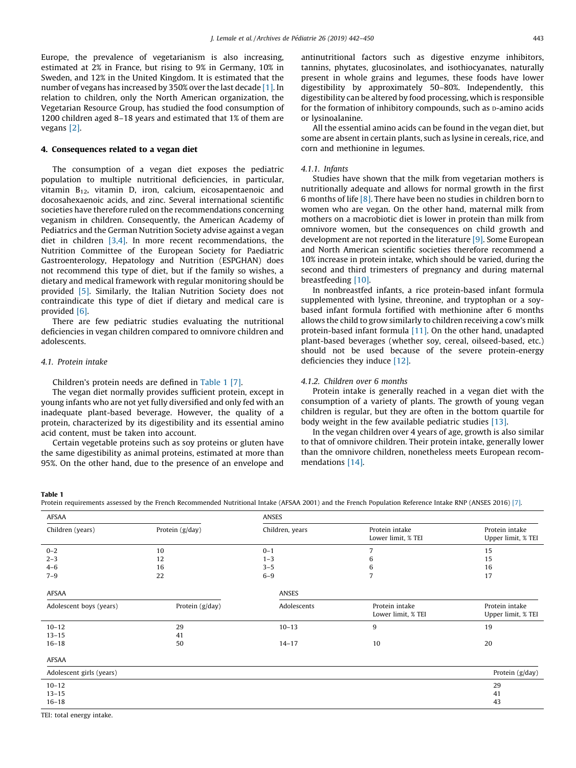Europe, the prevalence of vegetarianism is also increasing, estimated at 2% in France, but rising to 9% in Germany, 10% in Sweden, and 12% in the United Kingdom. It is estimated that the number of vegans has increased by 350% over the last decade [\[1\]](#page-7-0). In relation to children, only the North American organization, the Vegetarian Resource Group, has studied the food consumption of 1200 children aged 8–18 years and estimated that 1% of them are vegans [\[2\]](#page-7-0).

## 4. Consequences related to a vegan diet

The consumption of a vegan diet exposes the pediatric population to multiple nutritional deficiencies, in particular, vitamin  $B_{12}$ , vitamin D, iron, calcium, eicosapentaenoic and docosahexaenoic acids, and zinc. Several international scientific societies have therefore ruled on the recommendations concerning veganism in children. Consequently, the American Academy of Pediatrics and the German Nutrition Society advise against a vegan diet in children [\[3,4\].](#page-7-0) In more recent recommendations, the Nutrition Committee of the European Society for Paediatric Gastroenterology, Hepatology and Nutrition (ESPGHAN) does not recommend this type of diet, but if the family so wishes, a dietary and medical framework with regular monitoring should be provided [\[5\]](#page-7-0). Similarly, the Italian Nutrition Society does not contraindicate this type of diet if dietary and medical care is provided [\[6\]](#page-7-0).

There are few pediatric studies evaluating the nutritional deficiencies in vegan children compared to omnivore children and adolescents.

## 4.1. Protein intake

#### Children's protein needs are defined in Table 1 [\[7\]](#page-7-0).

The vegan diet normally provides sufficient protein, except in young infants who are not yet fully diversified and only fed with an inadequate plant-based beverage. However, the quality of a protein, characterized by its digestibility and its essential amino acid content, must be taken into account.

Certain vegetable proteins such as soy proteins or gluten have the same digestibility as animal proteins, estimated at more than 95%. On the other hand, due to the presence of an envelope and antinutritional factors such as digestive enzyme inhibitors, tannins, phytates, glucosinolates, and isothiocyanates, naturally present in whole grains and legumes, these foods have lower digestibility by approximately 50–80%. Independently, this digestibility can be altered by food processing, which is responsible for the formation of inhibitory compounds, such as p-amino acids or lysinoalanine.

All the essential amino acids can be found in the vegan diet, but some are absent in certain plants, such as lysine in cereals, rice, and corn and methionine in legumes.

#### 4.1.1. Infants

Studies have shown that the milk from vegetarian mothers is nutritionally adequate and allows for normal growth in the first 6 months of life [\[8\].](#page-7-0) There have been no studies in children born to women who are vegan. On the other hand, maternal milk from mothers on a macrobiotic diet is lower in protein than milk from omnivore women, but the consequences on child growth and development are not reported in the literature [\[9\].](#page-7-0) Some European and North American scientific societies therefore recommend a 10% increase in protein intake, which should be varied, during the second and third trimesters of pregnancy and during maternal breastfeeding [\[10\].](#page-7-0)

In nonbreastfed infants, a rice protein-based infant formula supplemented with lysine, threonine, and tryptophan or a soybased infant formula fortified with methionine after 6 months allows the child to grow similarly to children receiving a cow's milk protein-based infant formula [\[11\]](#page-7-0). On the other hand, unadapted plant-based beverages (whether soy, cereal, oilseed-based, etc.) should not be used because of the severe protein-energy deficiencies they induce [\[12\].](#page-7-0)

### 4.1.2. Children over 6 months

Protein intake is generally reached in a vegan diet with the consumption of a variety of plants. The growth of young vegan children is regular, but they are often in the bottom quartile for body weight in the few available pediatric studies [\[13\]](#page-7-0).

In the vegan children over 4 years of age, growth is also similar to that of omnivore children. Their protein intake, generally lower than the omnivore children, nonetheless meets European recommendations [\[14\]](#page-7-0).

## Table 1

Protein requirements assessed by the French Recommended Nutritional Intake (AFSAA 2001) and the French Population Reference Intake RNP (ANSES 2016) [\[7\].](#page-7-0)

| AFSAA                     |                 | <b>ANSES</b>    |                                      |                                      |  |
|---------------------------|-----------------|-----------------|--------------------------------------|--------------------------------------|--|
| Children (years)          | Protein (g/day) | Children, years | Protein intake<br>Lower limit, % TEI | Protein intake<br>Upper limit, % TEI |  |
| $0 - 2$                   | 10              | $0 - 1$         | 7                                    | 15                                   |  |
| $2 - 3$                   | 12              | $1 - 3$         | 6                                    | 15                                   |  |
| $4 - 6$                   | 16              | $3 - 5$         | 6                                    | 16                                   |  |
| $7 - 9$                   | 22              | $6 - 9$         | $\overline{7}$                       | 17                                   |  |
| AFSAA                     |                 | <b>ANSES</b>    |                                      |                                      |  |
| Adolescent boys (years)   | Protein (g/day) | Adolescents     | Protein intake<br>Lower limit, % TEI | Protein intake<br>Upper limit, % TEI |  |
| $10 - 12$                 | 29              | $10 - 13$       | 9                                    | 19                                   |  |
| $13 - 15$                 | 41              |                 |                                      |                                      |  |
| $16 - 18$                 | 50              | $14 - 17$       | 10                                   | 20                                   |  |
| AFSAA                     |                 |                 |                                      |                                      |  |
| Adolescent girls (years)  |                 |                 |                                      | Protein (g/day)                      |  |
| $10 - 12$                 |                 |                 |                                      | 29                                   |  |
| $13 - 15$                 |                 |                 |                                      | 41                                   |  |
| $16 - 18$                 |                 |                 |                                      | 43                                   |  |
| TEI: total energy intake. |                 |                 |                                      |                                      |  |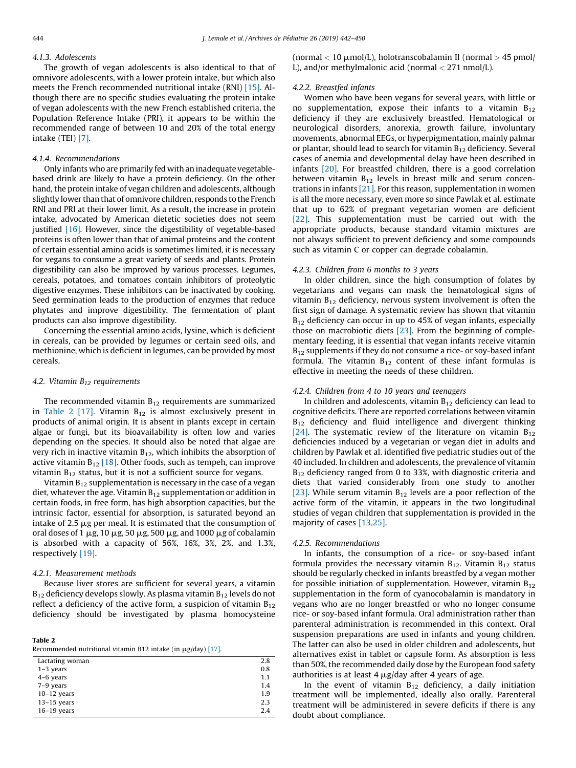## 4.1.3. Adolescents

The growth of vegan adolescents is also identical to that of omnivore adolescents, with a lower protein intake, but which also meets the French recommended nutritional intake (RNI) [\[15\].](#page-7-0) Although there are no specific studies evaluating the protein intake of vegan adolescents with the new French established criteria, the Population Reference Intake (PRI), it appears to be within the recommended range of between 10 and 20% of the total energy intake (TEI) [\[7\].](#page-7-0)

## 4.1.4. Recommendations

Only infants who are primarily fed with an inadequate vegetablebased drink are likely to have a protein deficiency. On the other hand, the protein intake of vegan children and adolescents, although slightly lower than that of omnivore children, responds to the French RNI and PRI at their lower limit. As a result, the increase in protein intake, advocated by American dietetic societies does not seem justified [\[16\].](#page-7-0) However, since the digestibility of vegetable-based proteins is often lower than that of animal proteins and the content of certain essential amino acids is sometimes limited, it is necessary for vegans to consume a great variety of seeds and plants. Protein digestibility can also be improved by various processes. Legumes, cereals, potatoes, and tomatoes contain inhibitors of proteolytic digestive enzymes. These inhibitors can be inactivated by cooking. Seed germination leads to the production of enzymes that reduce phytates and improve digestibility. The fermentation of plant products can also improve digestibility.

Concerning the essential amino acids, lysine, which is deficient in cereals, can be provided by legumes or certain seed oils, and methionine, which is deficient in legumes, can be provided by most cereals.

### 4.2. Vitamin  $B_{12}$  requirements

The recommended vitamin  $B_{12}$  requirements are summarized in Table 2  $[17]$ . Vitamin  $B_{12}$  is almost exclusively present in products of animal origin. It is absent in plants except in certain algae or fungi, but its bioavailability is often low and varies depending on the species. It should also be noted that algae are very rich in inactive vitamin  $B_{12}$ , which inhibits the absorption of active vitamin  $B_{12}$  [\[18\].](#page-7-0) Other foods, such as tempeh, can improve vitamin  $B_{12}$  status, but it is not a sufficient source for vegans.

Vitamin  $B_{12}$  supplementation is necessary in the case of a vegan diet, whatever the age. Vitamin  $B_{12}$  supplementation or addition in certain foods, in free form, has high absorption capacities, but the intrinsic factor, essential for absorption, is saturated beyond an intake of 2.5  $\mu$ g per meal. It is estimated that the consumption of oral doses of 1  $\mu$ g, 10  $\mu$ g, 50  $\mu$ g, 500  $\mu$ g, and 1000  $\mu$ g of cobalamin is absorbed with a capacity of 56%, 16%, 3%, 2%, and 1.3%, respectively [\[19\]](#page-7-0).

## 4.2.1. Measurement methods

Because liver stores are sufficient for several years, a vitamin  $B_{12}$  deficiency develops slowly. As plasma vitamin  $B_{12}$  levels do not reflect a deficiency of the active form, a suspicion of vitamin  $B_{12}$ deficiency should be investigated by plasma homocysteine

Table 2

Recommended nutritional vitamin B12 intake (in  $\mu$ g/day) [\[17\].](#page-7-0)

| $\alpha$ and $\alpha$ is a contribution of $\alpha$ is the set of $\alpha$ in $\alpha$ and $\alpha$ is $\alpha$ is $\alpha$ is $\alpha$ is $\alpha$ is $\alpha$ is $\alpha$ is $\alpha$ is a contribution of $\alpha$ is $\alpha$ is $\alpha$ is $\alpha$ is $\alpha$ is $\alpha$ is $\alpha$ is $\alpha$ is $\alpha$ |     |
|-----------------------------------------------------------------------------------------------------------------------------------------------------------------------------------------------------------------------------------------------------------------------------------------------------------------------|-----|
| Lactating woman                                                                                                                                                                                                                                                                                                       | 2.8 |
| $1-3$ years                                                                                                                                                                                                                                                                                                           | 0.8 |
| $4-6$ years                                                                                                                                                                                                                                                                                                           | 1.1 |
| 7-9 years                                                                                                                                                                                                                                                                                                             | 1.4 |
| $10-12$ years                                                                                                                                                                                                                                                                                                         | 1.9 |
| $13-15$ years                                                                                                                                                                                                                                                                                                         | 2.3 |
| $16-19$ years                                                                                                                                                                                                                                                                                                         | 2.4 |

(normal  $<$  10  $\mu$ mol/L), holotranscobalamin II (normal  $>$  45 pmol/ L), and/or methylmalonic acid (normal < 271 nmol/L).

## 4.2.2. Breastfed infants

Women who have been vegans for several years, with little or no supplementation, expose their infants to a vitamin  $B_{12}$ deficiency if they are exclusively breastfed. Hematological or neurological disorders, anorexia, growth failure, involuntary movements, abnormal EEGs, or hyperpigmentation, mainly palmar or plantar, should lead to search for vitamin  $B_{12}$  deficiency. Several cases of anemia and developmental delay have been described in infants [\[20\].](#page-7-0) For breastfed children, there is a good correlation between vitamin  $B_{12}$  levels in breast milk and serum concentrations in infants [\[21\].](#page-8-0) For this reason, supplementation in women is all the more necessary, even more so since Pawlak et al. estimate that up to 62% of pregnant vegetarian women are deficient [\[22\]](#page-8-0). This supplementation must be carried out with the appropriate products, because standard vitamin mixtures are not always sufficient to prevent deficiency and some compounds such as vitamin C or copper can degrade cobalamin.

#### 4.2.3. Children from 6 months to 3 years

In older children, since the high consumption of folates by vegetarians and vegans can mask the hematological signs of vitamin  $B_{12}$  deficiency, nervous system involvement is often the first sign of damage. A systematic review has shown that vitamin  $B_{12}$  deficiency can occur in up to 45% of vegan infants, especially those on macrobiotic diets [\[23\]](#page-8-0). From the beginning of complementary feeding, it is essential that vegan infants receive vitamin  $B_{12}$  supplements if they do not consume a rice- or soy-based infant formula. The vitamin  $B_{12}$  content of these infant formulas is effective in meeting the needs of these children.

## 4.2.4. Children from 4 to 10 years and teenagers

In children and adolescents, vitamin  $B_{12}$  deficiency can lead to cognitive deficits. There are reported correlations between vitamin  $B_{12}$  deficiency and fluid intelligence and divergent thinking [\[24\]](#page-8-0). The systematic review of the literature on vitamin  $B_{12}$ deficiencies induced by a vegetarian or vegan diet in adults and children by Pawlak et al. identified five pediatric studies out of the 40 included. In children and adolescents, the prevalence of vitamin B<sub>12</sub> deficiency ranged from 0 to 33%, with diagnostic criteria and diets that varied considerably from one study to another [\[23\]](#page-8-0). While serum vitamin  $B_{12}$  levels are a poor reflection of the active form of the vitamin, it appears in the two longitudinal studies of vegan children that supplementation is provided in the majority of cases [\[13,25\]](#page-7-0).

## 4.2.5. Recommendations

In infants, the consumption of a rice- or soy-based infant formula provides the necessary vitamin  $B_{12}$ . Vitamin  $B_{12}$  status should be regularly checked in infants breastfed by a vegan mother for possible initiation of supplementation. However, vitamin  $B_{12}$ supplementation in the form of cyanocobalamin is mandatory in vegans who are no longer breastfed or who no longer consume rice- or soy-based infant formula. Oral administration rather than parenteral administration is recommended in this context. Oral suspension preparations are used in infants and young children. The latter can also be used in older children and adolescents, but alternatives exist in tablet or capsule form. As absorption is less than 50%, the recommended daily dose by the European food safety authorities is at least 4  $\mu$ g/day after 4 years of age.

In the event of vitamin  $B_{12}$  deficiency, a daily initiation treatment will be implemented, ideally also orally. Parenteral treatment will be administered in severe deficits if there is any doubt about compliance.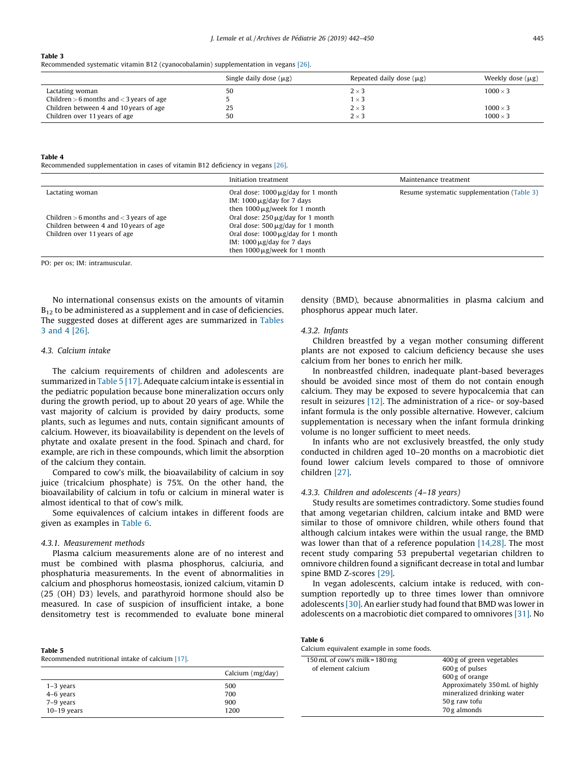#### Table 3

Recommended systematic vitamin B12 (cyanocobalamin) supplementation in vegans [\[26\]](#page-8-0).

|                                              | Single daily dose $(\mu g)$ | Repeated daily dose $(\mu g)$ | Weekly dose $(\mu g)$ |
|----------------------------------------------|-----------------------------|-------------------------------|-----------------------|
| Lactating woman                              | 50                          | $2 \times 3$                  | $1000 \times 3$       |
| Children $>$ 6 months and $<$ 3 years of age |                             | $1\times 3$                   |                       |
| Children between 4 and 10 years of age       | 25                          | $2 \times 3$                  | $1000 \times 3$       |
| Children over 11 years of age                | 50                          | $2 \times 3$                  | $1000 \times 3$       |

## Table 4

Recommended supplementation in cases of vitamin B12 deficiency in vegans [\[26\]](#page-8-0).

|                                              | Initiation treatment                                                                                             | Maintenance treatment                       |
|----------------------------------------------|------------------------------------------------------------------------------------------------------------------|---------------------------------------------|
| Lactating woman                              | Oral dose: $1000 \mu g/day$ for 1 month<br>IM: $1000 \mu$ g/day for 7 days<br>then $1000 \mu$ g/week for 1 month | Resume systematic supplementation (Table 3) |
| Children $>$ 6 months and $<$ 3 years of age | Oral dose: $250 \mu g$ /day for 1 month                                                                          |                                             |
| Children between 4 and 10 years of age       | Oral dose: $500 \mu g$ /day for 1 month                                                                          |                                             |
| Children over 11 years of age                | Oral dose: $1000 \mu g/day$ for 1 month                                                                          |                                             |
|                                              | IM: $1000 \mu$ g/day for 7 days                                                                                  |                                             |
|                                              | then $1000 \mu$ g/week for 1 month                                                                               |                                             |

PO: per os; IM: intramuscular.

No international consensus exists on the amounts of vitamin  $B_{12}$  to be administered as a supplement and in case of deficiencies. The suggested doses at different ages are summarized in Tables 3 and 4 [\[26\]](#page-8-0).

## 4.3. Calcium intake

The calcium requirements of children and adolescents are summarized in Table 5 [\[17\]](#page-7-0). Adequate calcium intake is essential in the pediatric population because bone mineralization occurs only during the growth period, up to about 20 years of age. While the vast majority of calcium is provided by dairy products, some plants, such as legumes and nuts, contain significant amounts of calcium. However, its bioavailability is dependent on the levels of phytate and oxalate present in the food. Spinach and chard, for example, are rich in these compounds, which limit the absorption of the calcium they contain.

Compared to cow's milk, the bioavailability of calcium in soy juice (tricalcium phosphate) is 75%. On the other hand, the bioavailability of calcium in tofu or calcium in mineral water is almost identical to that of cow's milk.

Some equivalences of calcium intakes in different foods are given as examples in Table 6.

## 4.3.1. Measurement methods

Table 5

Plasma calcium measurements alone are of no interest and must be combined with plasma phosphorus, calciuria, and phosphaturia measurements. In the event of abnormalities in calcium and phosphorus homeostasis, ionized calcium, vitamin D (25 (OH) D3) levels, and parathyroid hormone should also be measured. In case of suspicion of insufficient intake, a bone densitometry test is recommended to evaluate bone mineral

| Tapic J                                         |  |  |
|-------------------------------------------------|--|--|
| Recommended nutritional intake of calcium [17]. |  |  |

|               | Calcium (mg/day) |
|---------------|------------------|
| $1-3$ years   | 500              |
| $4-6$ years   | 700              |
| 7-9 years     | 900              |
| $10-19$ years | 1200             |

density (BMD), because abnormalities in plasma calcium and phosphorus appear much later.

## 4.3.2. Infants

Children breastfed by a vegan mother consuming different plants are not exposed to calcium deficiency because she uses calcium from her bones to enrich her milk.

In nonbreastfed children, inadequate plant-based beverages should be avoided since most of them do not contain enough calcium. They may be exposed to severe hypocalcemia that can result in seizures [\[12\].](#page-7-0) The administration of a rice- or soy-based infant formula is the only possible alternative. However, calcium supplementation is necessary when the infant formula drinking volume is no longer sufficient to meet needs.

In infants who are not exclusively breastfed, the only study conducted in children aged 10–20 months on a macrobiotic diet found lower calcium levels compared to those of omnivore children [\[27\].](#page-8-0)

#### 4.3.3. Children and adolescents (4–18 years)

Study results are sometimes contradictory. Some studies found that among vegetarian children, calcium intake and BMD were similar to those of omnivore children, while others found that although calcium intakes were within the usual range, the BMD was lower than that of a reference population [\[14,28\].](#page-7-0) The most recent study comparing 53 prepubertal vegetarian children to omnivore children found a significant decrease in total and lumbar spine BMD Z-scores [\[29\]](#page-8-0).

In vegan adolescents, calcium intake is reduced, with consumption reportedly up to three times lower than omnivore adolescents [\[30\]](#page-8-0). An earlier study had found that BMD was lower in adolescents on a macrobiotic diet compared to omnivores [\[31\].](#page-8-0) No

| Table 6                                   |  |
|-------------------------------------------|--|
| Calcium equivalent example in some foods. |  |

| 150 mL of cow's milk = $180 \text{ mg}$ | 400 g of green vegetables      |
|-----------------------------------------|--------------------------------|
| of element calcium                      | 600 g of pulses                |
|                                         | 600 g of orange                |
|                                         | Approximately 350 mL of highly |
|                                         | mineralized drinking water     |
|                                         | 50 g raw tofu                  |
|                                         | 70 g almonds                   |
|                                         |                                |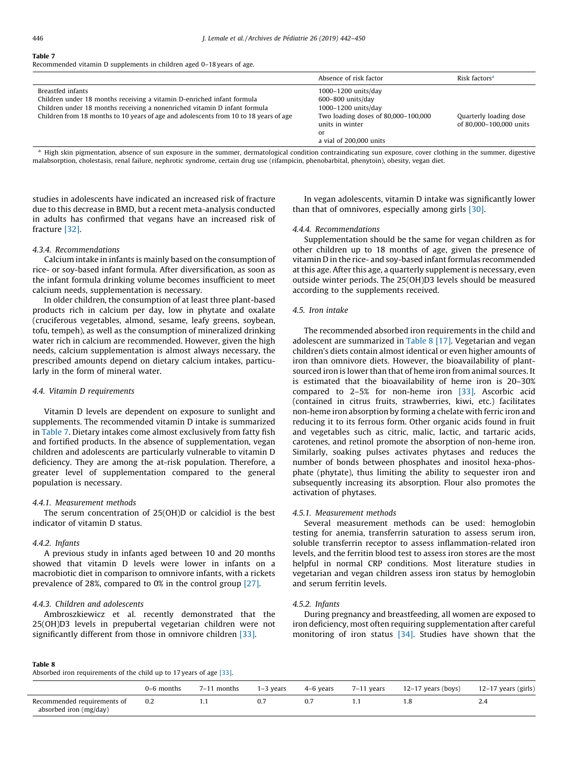#### Table 7

Recommended vitamin D supplements in children aged 0–18 years of age.

|                                                                                                                                                                                                                                                                   | Absence of risk factor                                                                                                                                         | Risk factors <sup>a</sup>                         |
|-------------------------------------------------------------------------------------------------------------------------------------------------------------------------------------------------------------------------------------------------------------------|----------------------------------------------------------------------------------------------------------------------------------------------------------------|---------------------------------------------------|
| Breastfed infants<br>Children under 18 months receiving a vitamin D-enriched infant formula<br>Children under 18 months receiving a nonenriched vitamin D infant formula<br>Children from 18 months to 10 years of age and adolescents from 10 to 18 years of age | 1000-1200 units/day<br>$600 - 800$ units/day<br>1000-1200 units/day<br>Two loading doses of 80,000-100,000<br>units in winter<br>or<br>a vial of 200,000 units | Quarterly loading dose<br>of 80,000-100,000 units |

<sup>a</sup> High skin pigmentation, absence of sun exposure in the summer, dermatological condition contraindicating sun exposure, cover clothing in the summer, digestive malabsorption, cholestasis, renal failure, nephrotic syndrome, certain drug use (rifampicin, phenobarbital, phenytoin), obesity, vegan diet.

studies in adolescents have indicated an increased risk of fracture due to this decrease in BMD, but a recent meta-analysis conducted in adults has confirmed that vegans have an increased risk of fracture [\[32\]](#page-8-0).

## 4.3.4. Recommendations

Calcium intake in infants is mainly based on the consumption of rice- or soy-based infant formula. After diversification, as soon as the infant formula drinking volume becomes insufficient to meet calcium needs, supplementation is necessary.

In older children, the consumption of at least three plant-based products rich in calcium per day, low in phytate and oxalate (cruciferous vegetables, almond, sesame, leafy greens, soybean, tofu, tempeh), as well as the consumption of mineralized drinking water rich in calcium are recommended. However, given the high needs, calcium supplementation is almost always necessary, the prescribed amounts depend on dietary calcium intakes, particularly in the form of mineral water.

#### 4.4. Vitamin D requirements

Vitamin D levels are dependent on exposure to sunlight and supplements. The recommended vitamin D intake is summarized in Table 7. Dietary intakes come almost exclusively from fatty fish and fortified products. In the absence of supplementation, vegan children and adolescents are particularly vulnerable to vitamin D deficiency. They are among the at-risk population. Therefore, a greater level of supplementation compared to the general population is necessary.

## 4.4.1. Measurement methods

The serum concentration of 25(OH)D or calcidiol is the best indicator of vitamin D status.

## 4.4.2. Infants

A previous study in infants aged between 10 and 20 months showed that vitamin D levels were lower in infants on a macrobiotic diet in comparison to omnivore infants, with a rickets prevalence of 28%, compared to 0% in the control group [\[27\].](#page-8-0)

## 4.4.3. Children and adolescents

Ambroszkiewicz et al. recently demonstrated that the 25(OH)D3 levels in prepubertal vegetarian children were not significantly different from those in omnivore children [\[33\].](#page-8-0)

In vegan adolescents, vitamin D intake was significantly lower than that of omnivores, especially among girls [\[30\]](#page-8-0).

#### 4.4.4. Recommendations

Supplementation should be the same for vegan children as for other children up to 18 months of age, given the presence of vitamin D in the rice- and soy-based infant formulas recommended at this age. After this age, a quarterly supplement is necessary, even outside winter periods. The 25(OH)D3 levels should be measured according to the supplements received.

## 4.5. Iron intake

The recommended absorbed iron requirements in the child and adolescent are summarized in Table 8 [\[17\]](#page-7-0). Vegetarian and vegan children's diets contain almost identical or even higher amounts of iron than omnivore diets. However, the bioavailability of plantsourced iron is lower than that of heme iron from animal sources. It is estimated that the bioavailability of heme iron is 20–30% compared to 2–5% for non-heme iron [\[33\]](#page-8-0). Ascorbic acid (contained in citrus fruits, strawberries, kiwi, etc.) facilitates non-heme iron absorption by forming a chelate with ferric iron and reducing it to its ferrous form. Other organic acids found in fruit and vegetables such as citric, malic, lactic, and tartaric acids, carotenes, and retinol promote the absorption of non-heme iron. Similarly, soaking pulses activates phytases and reduces the number of bonds between phosphates and inositol hexa-phosphate (phytate), thus limiting the ability to sequester iron and subsequently increasing its absorption. Flour also promotes the activation of phytases.

#### 4.5.1. Measurement methods

Several measurement methods can be used: hemoglobin testing for anemia, transferrin saturation to assess serum iron, soluble transferrin receptor to assess inflammation-related iron levels, and the ferritin blood test to assess iron stores are the most helpful in normal CRP conditions. Most literature studies in vegetarian and vegan children assess iron status by hemoglobin and serum ferritin levels.

## 4.5.2. Infants

During pregnancy and breastfeeding, all women are exposed to iron deficiency, most often requiring supplementation after careful monitoring of iron status [\[34\]](#page-8-0). Studies have shown that the

#### Table 8

Absorbed iron requirements of the child up to 17 years of age [\[33\].](#page-8-0)

|                             | months               | months<br>/ – I | years | 4–6 years | $7-11$ years | $12-17$ years (boys) | 12-17 years (girls)                    |
|-----------------------------|----------------------|-----------------|-------|-----------|--------------|----------------------|----------------------------------------|
| Recommended requirements of | 0.2<br>$\sim$ $\sim$ | .               | 0.7   | 0.7       |              |                      | ∠.−<br>the contract of the contract of |
| absorbed iron (mg/day)      |                      |                 |       |           |              |                      |                                        |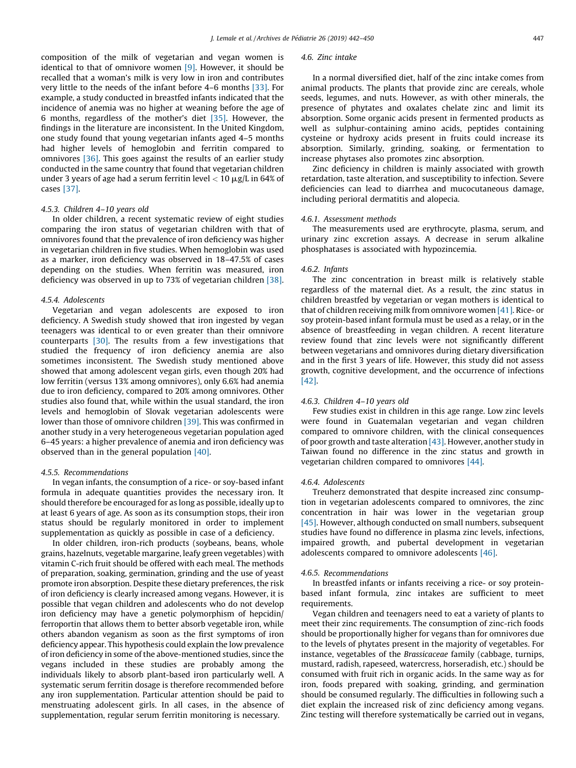composition of the milk of vegetarian and vegan women is identical to that of omnivore women [\[9\].](#page-7-0) However, it should be recalled that a woman's milk is very low in iron and contributes very little to the needs of the infant before 4–6 months [\[33\].](#page-8-0) For example, a study conducted in breastfed infants indicated that the incidence of anemia was no higher at weaning before the age of 6 months, regardless of the mother's diet [\[35\].](#page-8-0) However, the findings in the literature are inconsistent. In the United Kingdom, one study found that young vegetarian infants aged 4–5 months had higher levels of hemoglobin and ferritin compared to omnivores [\[36\].](#page-8-0) This goes against the results of an earlier study conducted in the same country that found that vegetarian children under 3 years of age had a serum ferritin level  $<$  10  $\mu$ g/L in 64% of cases [\[37\].](#page-8-0)

#### 4.5.3. Children 4–10 years old

In older children, a recent systematic review of eight studies comparing the iron status of vegetarian children with that of omnivores found that the prevalence of iron deficiency was higher in vegetarian children in five studies. When hemoglobin was used as a marker, iron deficiency was observed in 18–47.5% of cases depending on the studies. When ferritin was measured, iron deficiency was observed in up to 73% of vegetarian children [\[38\].](#page-8-0)

#### 4.5.4. Adolescents

Vegetarian and vegan adolescents are exposed to iron deficiency. A Swedish study showed that iron ingested by vegan teenagers was identical to or even greater than their omnivore counterparts [\[30\].](#page-8-0) The results from a few investigations that studied the frequency of iron deficiency anemia are also sometimes inconsistent. The Swedish study mentioned above showed that among adolescent vegan girls, even though 20% had low ferritin (versus 13% among omnivores), only 6.6% had anemia due to iron deficiency, compared to 20% among omnivores. Other studies also found that, while within the usual standard, the iron levels and hemoglobin of Slovak vegetarian adolescents were lower than those of omnivore children [\[39\]](#page-8-0). This was confirmed in another study in a very heterogeneous vegetarian population aged 6–45 years: a higher prevalence of anemia and iron deficiency was observed than in the general population [\[40\]](#page-8-0).

## 4.5.5. Recommendations

In vegan infants, the consumption of a rice- or soy-based infant formula in adequate quantities provides the necessary iron. It should therefore be encouraged for as long as possible, ideally up to at least 6 years of age. As soon as its consumption stops, their iron status should be regularly monitored in order to implement supplementation as quickly as possible in case of a deficiency.

In older children, iron-rich products (soybeans, beans, whole grains, hazelnuts, vegetable margarine, leafy green vegetables) with vitamin C-rich fruit should be offered with each meal. The methods of preparation, soaking, germination, grinding and the use of yeast promote iron absorption. Despite these dietary preferences, the risk of iron deficiency is clearly increased among vegans. However, it is possible that vegan children and adolescents who do not develop iron deficiency may have a genetic polymorphism of hepcidin/ ferroportin that allows them to better absorb vegetable iron, while others abandon veganism as soon as the first symptoms of iron deficiency appear. This hypothesis could explain the low prevalence of iron deficiency in some of the above-mentioned studies, since the vegans included in these studies are probably among the individuals likely to absorb plant-based iron particularly well. A systematic serum ferritin dosage is therefore recommended before any iron supplementation. Particular attention should be paid to menstruating adolescent girls. In all cases, in the absence of supplementation, regular serum ferritin monitoring is necessary.

#### 4.6. Zinc intake

In a normal diversified diet, half of the zinc intake comes from animal products. The plants that provide zinc are cereals, whole seeds, legumes, and nuts. However, as with other minerals, the presence of phytates and oxalates chelate zinc and limit its absorption. Some organic acids present in fermented products as well as sulphur-containing amino acids, peptides containing cysteine or hydroxy acids present in fruits could increase its absorption. Similarly, grinding, soaking, or fermentation to increase phytases also promotes zinc absorption.

Zinc deficiency in children is mainly associated with growth retardation, taste alteration, and susceptibility to infection. Severe deficiencies can lead to diarrhea and mucocutaneous damage, including perioral dermatitis and alopecia.

#### 4.6.1. Assessment methods

The measurements used are erythrocyte, plasma, serum, and urinary zinc excretion assays. A decrease in serum alkaline phosphatases is associated with hypozincemia.

#### 4.6.2. Infants

The zinc concentration in breast milk is relatively stable regardless of the maternal diet. As a result, the zinc status in children breastfed by vegetarian or vegan mothers is identical to that of children receiving milk from omnivore women [\[41\]](#page-8-0). Rice- or soy protein-based infant formula must be used as a relay, or in the absence of breastfeeding in vegan children. A recent literature review found that zinc levels were not significantly different between vegetarians and omnivores during dietary diversification and in the first 3 years of life. However, this study did not assess growth, cognitive development, and the occurrence of infections [\[42\]](#page-8-0).

## 4.6.3. Children 4–10 years old

Few studies exist in children in this age range. Low zinc levels were found in Guatemalan vegetarian and vegan children compared to omnivore children, with the clinical consequences of poor growth and taste alteration  $[43]$ . However, another study in Taiwan found no difference in the zinc status and growth in vegetarian children compared to omnivores [\[44\].](#page-8-0)

## 4.6.4. Adolescents

Treuherz demonstrated that despite increased zinc consumption in vegetarian adolescents compared to omnivores, the zinc concentration in hair was lower in the vegetarian group [\[45\]](#page-8-0). However, although conducted on small numbers, subsequent studies have found no difference in plasma zinc levels, infections, impaired growth, and pubertal development in vegetarian adolescents compared to omnivore adolescents [\[46\].](#page-8-0)

## 4.6.5. Recommendations

In breastfed infants or infants receiving a rice- or soy proteinbased infant formula, zinc intakes are sufficient to meet requirements.

Vegan children and teenagers need to eat a variety of plants to meet their zinc requirements. The consumption of zinc-rich foods should be proportionally higher for vegans than for omnivores due to the levels of phytates present in the majority of vegetables. For instance, vegetables of the Brassicaceae family (cabbage, turnips, mustard, radish, rapeseed, watercress, horseradish, etc.) should be consumed with fruit rich in organic acids. In the same way as for iron, foods prepared with soaking, grinding, and germination should be consumed regularly. The difficulties in following such a diet explain the increased risk of zinc deficiency among vegans. Zinc testing will therefore systematically be carried out in vegans,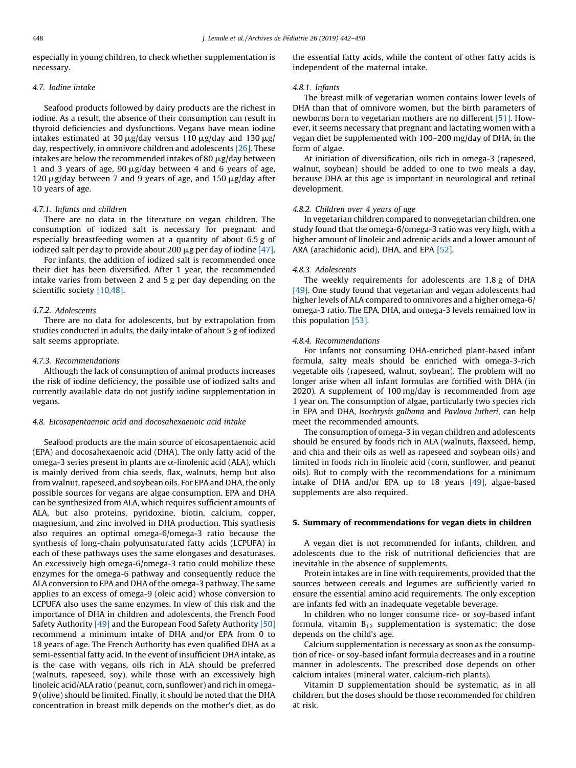especially in young children, to check whether supplementation is necessary.

## 4.7. Iodine intake

Seafood products followed by dairy products are the richest in iodine. As a result, the absence of their consumption can result in thyroid deficiencies and dysfunctions. Vegans have mean iodine intakes estimated at 30  $\mu$ g/day versus 110  $\mu$ g/day and 130  $\mu$ g/ day, respectively, in omnivore children and adolescents [\[26\]](#page-8-0). These intakes are below the recommended intakes of 80  $\mu$ g/day between 1 and 3 years of age,  $90 \mu g$ /day between 4 and 6 years of age, 120  $\mu$ g/day between 7 and 9 years of age, and 150  $\mu$ g/day after 10 years of age.

## 4.7.1. Infants and children

There are no data in the literature on vegan children. The consumption of iodized salt is necessary for pregnant and especially breastfeeding women at a quantity of about 6.5 g of iodized salt per day to provide about 200  $\mu$ g per day of iodine [\[47\].](#page-8-0)

For infants, the addition of iodized salt is recommended once their diet has been diversified. After 1 year, the recommended intake varies from between 2 and 5 g per day depending on the scientific society [\[10,48\]](#page-7-0).

#### 4.7.2. Adolescents

There are no data for adolescents, but by extrapolation from studies conducted in adults, the daily intake of about 5 g of iodized salt seems appropriate.

#### 4.7.3. Recommendations

Although the lack of consumption of animal products increases the risk of iodine deficiency, the possible use of iodized salts and currently available data do not justify iodine supplementation in vegans.

#### 4.8. Eicosapentaenoic acid and docosahexaenoic acid intake

Seafood products are the main source of eicosapentaenoic acid (EPA) and docosahexaenoic acid (DHA). The only fatty acid of the omega-3 series present in plants are  $\alpha$ -linolenic acid (ALA), which is mainly derived from chia seeds, flax, walnuts, hemp but also from walnut, rapeseed, and soybean oils. For EPA and DHA, the only possible sources for vegans are algae consumption. EPA and DHA can be synthesized from ALA, which requires sufficient amounts of ALA, but also proteins, pyridoxine, biotin, calcium, copper, magnesium, and zinc involved in DHA production. This synthesis also requires an optimal omega-6/omega-3 ratio because the synthesis of long-chain polyunsaturated fatty acids (LCPUFA) in each of these pathways uses the same elongases and desaturases. An excessively high omega-6/omega-3 ratio could mobilize these enzymes for the omega-6 pathway and consequently reduce the ALA conversion to EPA and DHA of the omega-3 pathway. The same applies to an excess of omega-9 (oleic acid) whose conversion to LCPUFA also uses the same enzymes. In view of this risk and the importance of DHA in children and adolescents, the French Food Safety Authority [\[49\]](#page-8-0) and the European Food Safety Authority [\[50\]](#page-8-0) recommend a minimum intake of DHA and/or EPA from 0 to 18 years of age. The French Authority has even qualified DHA as a semi-essential fatty acid. In the event of insufficient DHA intake, as is the case with vegans, oils rich in ALA should be preferred (walnuts, rapeseed, soy), while those with an excessively high linoleic acid/ALA ratio (peanut, corn, sunflower) and rich in omega-9 (olive) should be limited. Finally, it should be noted that the DHA concentration in breast milk depends on the mother's diet, as do the essential fatty acids, while the content of other fatty acids is independent of the maternal intake.

## 4.8.1. Infants

The breast milk of vegetarian women contains lower levels of DHA than that of omnivore women, but the birth parameters of newborns born to vegetarian mothers are no different [\[51\]](#page-8-0). However, it seems necessary that pregnant and lactating women with a vegan diet be supplemented with 100–200 mg/day of DHA, in the form of algae.

At initiation of diversification, oils rich in omega-3 (rapeseed, walnut, soybean) should be added to one to two meals a day, because DHA at this age is important in neurological and retinal development.

#### 4.8.2. Children over 4 years of age

In vegetarian children compared to nonvegetarian children, one study found that the omega-6/omega-3 ratio was very high, with a higher amount of linoleic and adrenic acids and a lower amount of ARA (arachidonic acid), DHA, and EPA [\[52\].](#page-8-0)

#### 4.8.3. Adolescents

The weekly requirements for adolescents are 1.8 g of DHA [\[49\]](#page-8-0). One study found that vegetarian and vegan adolescents had higher levels of ALA compared to omnivores and a higher omega-6/ omega-3 ratio. The EPA, DHA, and omega-3 levels remained low in this population [\[53\].](#page-8-0)

#### 4.8.4. Recommendations

For infants not consuming DHA-enriched plant-based infant formula, salty meals should be enriched with omega-3-rich vegetable oils (rapeseed, walnut, soybean). The problem will no longer arise when all infant formulas are fortified with DHA (in 2020). A supplement of 100 mg/day is recommended from age 1 year on. The consumption of algae, particularly two species rich in EPA and DHA, Isochrysis galbana and Pavlova lutheri, can help meet the recommended amounts.

The consumption of omega-3 in vegan children and adolescents should be ensured by foods rich in ALA (walnuts, flaxseed, hemp, and chia and their oils as well as rapeseed and soybean oils) and limited in foods rich in linoleic acid (corn, sunflower, and peanut oils). But to comply with the recommendations for a minimum intake of DHA and/or EPA up to 18 years [\[49\]](#page-8-0), algae-based supplements are also required.

#### 5. Summary of recommendations for vegan diets in children

A vegan diet is not recommended for infants, children, and adolescents due to the risk of nutritional deficiencies that are inevitable in the absence of supplements.

Protein intakes are in line with requirements, provided that the sources between cereals and legumes are sufficiently varied to ensure the essential amino acid requirements. The only exception are infants fed with an inadequate vegetable beverage.

In children who no longer consume rice- or soy-based infant formula, vitamin  $B_{12}$  supplementation is systematic; the dose depends on the child's age.

Calcium supplementation is necessary as soon as the consumption of rice- or soy-based infant formula decreases and in a routine manner in adolescents. The prescribed dose depends on other calcium intakes (mineral water, calcium-rich plants).

Vitamin D supplementation should be systematic, as in all children, but the doses should be those recommended for children at risk.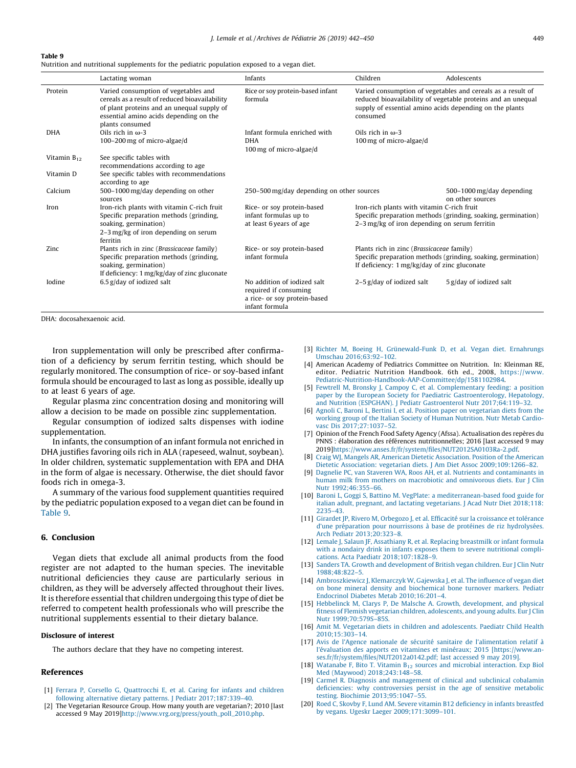#### <span id="page-7-0"></span>Table 9

Nutrition and nutritional supplements for the pediatric population exposed to a vegan diet.

|                  | Lactating woman                                                                                                                                                                                   | Infants                                                                                                            | Children                                                                                                                                                     | Adolescents                                                                                                                 |
|------------------|---------------------------------------------------------------------------------------------------------------------------------------------------------------------------------------------------|--------------------------------------------------------------------------------------------------------------------|--------------------------------------------------------------------------------------------------------------------------------------------------------------|-----------------------------------------------------------------------------------------------------------------------------|
| Protein          | Varied consumption of vegetables and<br>cereals as a result of reduced bioavailability<br>of plant proteins and an unequal supply of<br>essential amino acids depending on the<br>plants consumed | Rice or soy protein-based infant<br>formula<br>supply of essential amino acids depending on the plants<br>consumed |                                                                                                                                                              | Varied consumption of vegetables and cereals as a result of<br>reduced bioavailability of vegetable proteins and an unequal |
| <b>DHA</b>       | Oils rich in $\omega$ -3<br>100-200 mg of micro-algae/d                                                                                                                                           | Infant formula enriched with<br><b>DHA</b><br>100 mg of micro-algae/d                                              | Oils rich in $\omega$ -3<br>100 mg of micro-algae/d                                                                                                          |                                                                                                                             |
| Vitamin $B_{12}$ | See specific tables with<br>recommendations according to age                                                                                                                                      |                                                                                                                    |                                                                                                                                                              |                                                                                                                             |
| Vitamin D        | See specific tables with recommendations<br>according to age                                                                                                                                      |                                                                                                                    |                                                                                                                                                              |                                                                                                                             |
| Calcium          | 500-1000 mg/day depending on other<br>sources                                                                                                                                                     | 250–500 mg/day depending on other sources<br>on other sources                                                      |                                                                                                                                                              | 500-1000 mg/day depending                                                                                                   |
| Iron             | Iron-rich plants with vitamin C-rich fruit<br>Specific preparation methods (grinding,<br>soaking, germination)<br>2-3 mg/kg of iron depending on serum<br>ferritin                                | Rice- or soy protein-based<br>infant formulas up to<br>at least 6 years of age                                     | Iron-rich plants with vitamin C-rich fruit<br>Specific preparation methods (grinding, soaking, germination)<br>2-3 mg/kg of iron depending on serum ferritin |                                                                                                                             |
| Zinc             | Plants rich in zinc (Brassicaceae family)<br>Specific preparation methods (grinding,<br>soaking, germination)<br>If deficiency: 1 mg/kg/day of zinc gluconate                                     | Rice- or soy protein-based<br>infant formula                                                                       | Plants rich in zinc (Brassicaceae family)<br>If deficiency: 1 mg/kg/day of zinc gluconate                                                                    | Specific preparation methods (grinding, soaking, germination)                                                               |
| Iodine           | $6.5$ g/day of iodized salt                                                                                                                                                                       | No addition of iodized salt<br>required if consuming<br>a rice- or soy protein-based<br>infant formula             | $2-5$ g/day of iodized salt                                                                                                                                  | 5 g/day of iodized salt                                                                                                     |

DHA: docosahexaenoic acid.

Iron supplementation will only be prescribed after confirmation of a deficiency by serum ferritin testing, which should be regularly monitored. The consumption of rice- or soy-based infant formula should be encouraged to last as long as possible, ideally up to at least 6 years of age.

Regular plasma zinc concentration dosing and monitoring will allow a decision to be made on possible zinc supplementation.

Regular consumption of iodized salts dispenses with iodine supplementation.

In infants, the consumption of an infant formula not enriched in DHA justifies favoring oils rich in ALA (rapeseed, walnut, soybean). In older children, systematic supplementation with EPA and DHA in the form of algae is necessary. Otherwise, the diet should favor foods rich in omega-3.

A summary of the various food supplement quantities required by the pediatric population exposed to a vegan diet can be found in Table 9.

## 6. Conclusion

Vegan diets that exclude all animal products from the food register are not adapted to the human species. The inevitable nutritional deficiencies they cause are particularly serious in children, as they will be adversely affected throughout their lives. It is therefore essential that children undergoing this type of diet be referred to competent health professionals who will prescribe the nutritional supplements essential to their dietary balance.

## Disclosure of interest

The authors declare that they have no competing interest.

## References

- [1] Ferrara P, Corsello G, [Quattrocchi](http://refhub.elsevier.com/S0929-693X(19)30136-8/sbref0270) E, et al. Caring for infants and children following alternative dietary patterns. J Pediatr [2017;187:339–40](http://refhub.elsevier.com/S0929-693X(19)30136-8/sbref0270).
- [2] The Vegetarian Resource Group. How many youth are vegetarian?; 2010 [last accessed 9 May 2019[\]http://www.vrg.org/press/youth\\_poll\\_2010.php.](http://www.vrg.org/press/youth_poll_2010.php)
- [3] Richter M, Boeing H, Grünewald-Funk D, et al. Vegan diet. Ernahrungs Umschau [2016;63:92–102.](http://refhub.elsevier.com/S0929-693X(19)30136-8/sbref0280)
- [4] American Academy of Pediatrics Committee on Nutrition. In: Kleinman RE, editor. Pediatric Nutrition Handbook. 6th ed., 2008, [https://www.](https://www.pediatric-nutrition-handbook-aap-committee/dp/1581102984) [Pediatric-Nutrition-Handbook-AAP-Committee/dp/1581102984.](https://www.pediatric-nutrition-handbook-aap-committee/dp/1581102984)
- [5] Fewtrell M, Bronsky J, Campoy C, et al. [Complementary](http://refhub.elsevier.com/S0929-693X(19)30136-8/sbref0290) feeding: a position paper by the European Society for Paediatric [Gastroenterology,](http://refhub.elsevier.com/S0929-693X(19)30136-8/sbref0290) Hepatology, and Nutrition (ESPGHAN). J Pediatr Gastroenterol Nutr [2017;64:119–32](http://refhub.elsevier.com/S0929-693X(19)30136-8/sbref0290).
- [6] Agnoli C, Baroni L, Bertini I, et al. Position paper on [vegetarian](http://refhub.elsevier.com/S0929-693X(19)30136-8/sbref0295) diets from the working group of the Italian Society of Human [Nutrition.](http://refhub.elsevier.com/S0929-693X(19)30136-8/sbref0295) Nutr Metab Cardiovasc Dis [2017;27:1037–52.](http://refhub.elsevier.com/S0929-693X(19)30136-8/sbref0295)
- [7] Opinion of the French Food Safety Agency (Afssa). Actualisation des repères du PNNS : élaboration des références nutritionnelles; 2016 [last accessed 9 may 2019][https://www.anses.fr/fr/system/files/NUT2012SA0103Ra-2.pdf.](https://www.anses.fr/fr/system/files/NUT2012SA0103Ra-2.pdf)
- [8] Craig WJ, Mangels AR, American Dietetic [Association.](http://refhub.elsevier.com/S0929-693X(19)30136-8/sbref0305) Position of the American Dietetic Association: vegetarian diets. J Am Diet Assoc [2009;109:1266–82](http://refhub.elsevier.com/S0929-693X(19)30136-8/sbref0305).
- [9] Dagnelie PC, van Staveren WA, Roos AH, et al. Nutrients and [contaminants](http://refhub.elsevier.com/S0929-693X(19)30136-8/sbref0310) in human milk from mothers on macrobiotic and [omnivorous](http://refhub.elsevier.com/S0929-693X(19)30136-8/sbref0310) diets. Eur J Clin Nutr [1992;46:355–66](http://refhub.elsevier.com/S0929-693X(19)30136-8/sbref0310).
- [10] Baroni L, Goggi S, Battino M. VegPlate: a [mediterranean-based](http://refhub.elsevier.com/S0929-693X(19)30136-8/sbref0315) food guide for italian adult, pregnant, and lactating [vegetarians.](http://refhub.elsevier.com/S0929-693X(19)30136-8/sbref0315) J Acad Nutr Diet 2018;118: [2235–43](http://refhub.elsevier.com/S0929-693X(19)30136-8/sbref0315).
- [11] Girardet JP, Rivero M, Orbegozo J, et al. Efficacité sur la [croissance](http://refhub.elsevier.com/S0929-693X(19)30136-8/sbref0320) et tolérance d'une préparation pour nourrissons à base de protéines de riz hydrolysées. Arch Pediatr [2013;20:323–8.](http://refhub.elsevier.com/S0929-693X(19)30136-8/sbref0320)
- [12] Lemale J, Salaun JF, [Assathiany](http://refhub.elsevier.com/S0929-693X(19)30136-8/sbref0325) R, et al. Replacing breastmilk or infant formula with a nondairy drink in infants exposes them to severe [nutritional](http://refhub.elsevier.com/S0929-693X(19)30136-8/sbref0325) complications. Acta Paediatr [2018;107:1828–9.](http://refhub.elsevier.com/S0929-693X(19)30136-8/sbref0325)
- [13] Sanders TA. Growth and [development](http://refhub.elsevier.com/S0929-693X(19)30136-8/sbref0330) of British vegan children. Eur J Clin Nutr [1988;48:822–5.](http://refhub.elsevier.com/S0929-693X(19)30136-8/sbref0330)
- [14] [Ambroszkiewicz](http://refhub.elsevier.com/S0929-693X(19)30136-8/sbref0335) J, Klemarczyk W, Gajewska J, et al. The influence of vegan diet on bone mineral density and [biochemical](http://refhub.elsevier.com/S0929-693X(19)30136-8/sbref0335) bone turnover markers. Pediatr Endocrinol Diabetes Metab [2010;16:201–4.](http://refhub.elsevier.com/S0929-693X(19)30136-8/sbref0335)
- [15] Hebbelinck M, Clarys P, De Malsche A. Growth, [development,](http://refhub.elsevier.com/S0929-693X(19)30136-8/sbref0340) and physical fitness of Flemish vegetarian children, [adolescents,](http://refhub.elsevier.com/S0929-693X(19)30136-8/sbref0340) and young adults. Eur J Clin Nutr [1999;70:579S–85S.](http://refhub.elsevier.com/S0929-693X(19)30136-8/sbref0340)
- [16] Amit M. Vegetarian diets in children and [adolescents.](http://refhub.elsevier.com/S0929-693X(19)30136-8/sbref0345) Paediatr Child Health [2010;15:303–14](http://refhub.elsevier.com/S0929-693X(19)30136-8/sbref0345).
- [17] Avis de l'Agence nationale de sécurité sanitaire de [l'alimentation](http://refhub.elsevier.com/S0929-693X(19)30136-8/sbref0350) relatif à l'évaluation des apports en vitamines et minéraux; 2015 [\[https://www.an](http://refhub.elsevier.com/S0929-693X(19)30136-8/sbref0350)[ses.fr/fr/system/files/NUT2012a0142.pdf;](http://refhub.elsevier.com/S0929-693X(19)30136-8/sbref0350) last accessed 9 may 2019].
- [18] [Watanabe](http://refhub.elsevier.com/S0929-693X(19)30136-8/sbref0355) F, Bito T. Vitamin  $B_{12}$  sources and microbial [interaction.](http://refhub.elsevier.com/S0929-693X(19)30136-8/sbref0355) Exp Biol Med (Maywood) [2018;243:148–58.](http://refhub.elsevier.com/S0929-693X(19)30136-8/sbref0355)
- [19] Carmel R. Diagnosis and [management](http://refhub.elsevier.com/S0929-693X(19)30136-8/sbref0360) of clinical and subclinical cobalamin deficiencies: why [controversies](http://refhub.elsevier.com/S0929-693X(19)30136-8/sbref0360) persist in the age of sensitive metabolic testing. Biochimie [2013;95:1047–55.](http://refhub.elsevier.com/S0929-693X(19)30136-8/sbref0360)
- [20] Roed C, Skovby F, Lund AM. Severe vitamin B12 [deficiency](http://refhub.elsevier.com/S0929-693X(19)30136-8/sbref0365) in infants breastfed by vegans. Ugeskr Laeger [2009;171:3099–101.](http://refhub.elsevier.com/S0929-693X(19)30136-8/sbref0365)